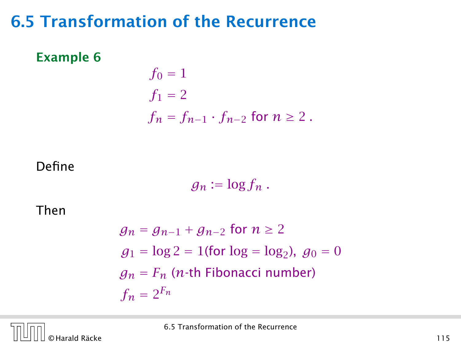# 6.5 Transformation of the Recurrence

#### Example 6

$$
f_0 = 1
$$
  
\n
$$
f_1 = 2
$$
  
\n
$$
f_n = f_{n-1} \cdot f_{n-2} \text{ for } n \ge 2.
$$

#### Define

 $g_n := \log f_n$ .

Then

$$
g_n = g_{n-1} + g_{n-2} \text{ for } n \ge 2
$$
  
\n
$$
g_1 = \log 2 = 1 \text{(for } \log = \log_2\text{), } g_0 = 0
$$
  
\n
$$
g_n = F_n \text{ (n-th Fibonacci number)}
$$
  
\n
$$
f_n = 2^{F_n}
$$

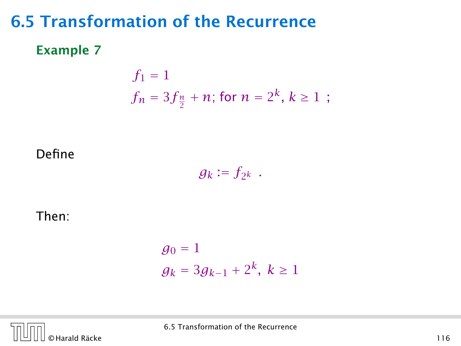# 6.5 Transformation of the Recurrence

### Example 7

$$
f_1 = 1
$$
  
 $f_n = 3f_{\frac{n}{2}} + n$ ; for  $n = 2^k, k \ge 1$ ;

Define

$$
g_k:=f_{2^k}.
$$

Then:

$$
g_0 = 1
$$
  

$$
g_k = 3g_{k-1} + 2^k, k \ge 1
$$

© Harald Räcke 116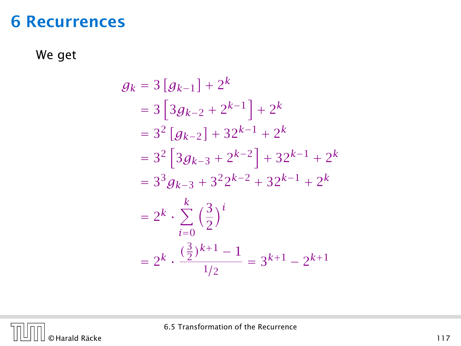## 6 Recurrences

We get

$$
g_k = 3 [g_{k-1}] + 2^k
$$
  
= 3 [3g\_{k-2} + 2^{k-1}] + 2^k  
= 3<sup>2</sup> [g\_{k-2}] + 32^{k-1} + 2^k  
= 3<sup>2</sup> [3g\_{k-3} + 2^{k-2}] + 32^{k-1} + 2^k  
= 3<sup>3</sup> g\_{k-3} + 3<sup>2</sup>2^{k-2} + 32^{k-1} + 2^k  
= 2<sup>k</sup> \cdot \sum\_{i=0}^{k} \left(\frac{3}{2}\right)^{i}  
= 2<sup>k</sup> \cdot \frac{\left(\frac{3}{2}\right)^{k+1} - 1}{1/2} = 3^{k+1} - 2^{k+1}

 $n<sub>f</sub>$ © Harald Räcke 117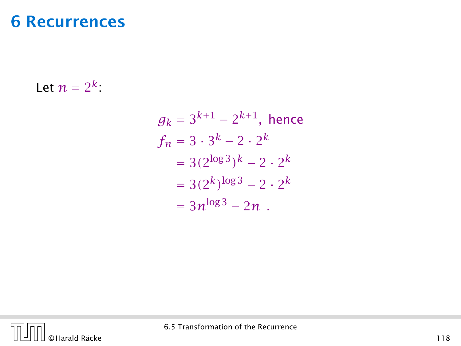# 6 Recurrences

Let  $n = 2^k$ :

$$
g_k = 3^{k+1} - 2^{k+1}, \text{ hence}
$$
  
\n
$$
f_n = 3 \cdot 3^k - 2 \cdot 2^k
$$
  
\n
$$
= 3(2^{\log 3})^k - 2 \cdot 2^k
$$
  
\n
$$
= 3(2^k)^{\log 3} - 2 \cdot 2^k
$$
  
\n
$$
= 3n^{\log 3} - 2n
$$